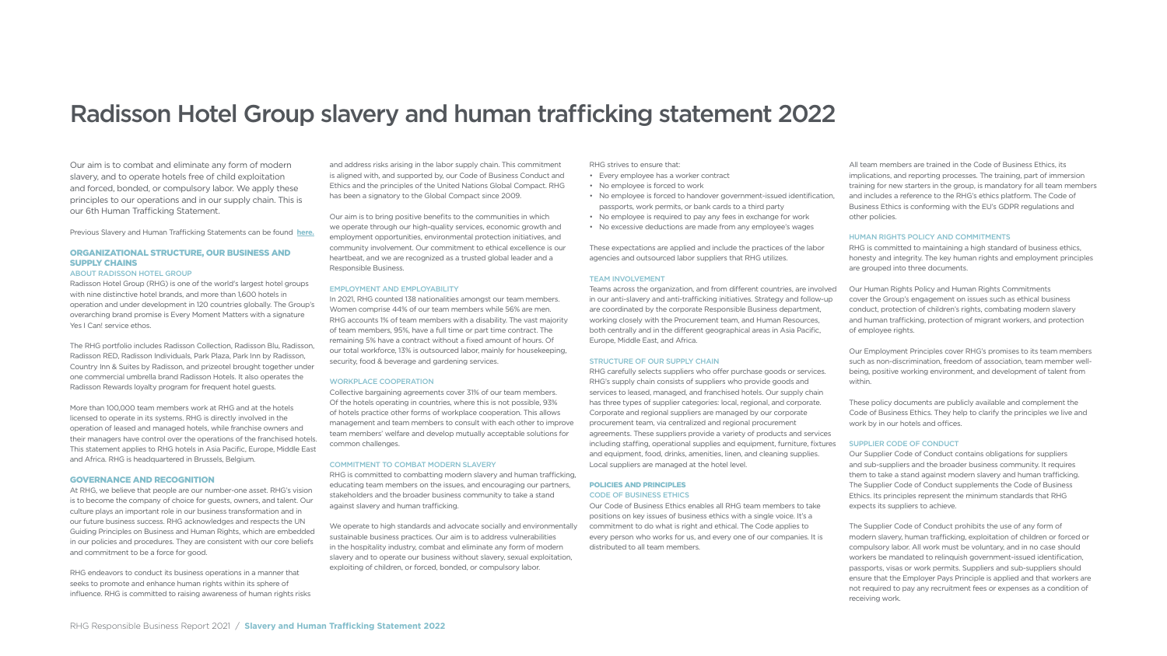Our aim is to combat and eliminate any form of modern slavery, and to operate hotels free of child exploitation and forced, bonded, or compulsory labor. We apply these principles to our operations and in our supply chain. This is our 6th Human Trafficking Statement.

Radisson Hotel Group (RHG) is one of the world's largest hotel groups with nine distinctive hotel brands, and more than 1,600 hotels in operation and under development in 120 countries globally. The Group's overarching brand promise is Every Moment Matters with a signature Yes I Can! service ethos.

[Previous Slavery and Human Trafficking Statements can be found](https://www.radissonhotels.com/en-us/corporate/responsible-business/people) **here.**

# ORGANIZATIONAL STRUCTURE, OUR BUSINESS AND SUPPLY CHAINS

#### ABOUT RADISSON HOTEL GROUP

The RHG portfolio includes Radisson Collection, Radisson Blu, Radisson, Radisson RED, Radisson Individuals, Park Plaza, Park Inn by Radisson, Country Inn & Suites by Radisson, and prizeotel brought together under one commercial umbrella brand Radisson Hotels. It also operates the Radisson Rewards loyalty program for frequent hotel guests.

More than 100,000 team members work at RHG and at the hotels licensed to operate in its systems. RHG is directly involved in the operation of leased and managed hotels, while franchise owners and their managers have control over the operations of the franchised hotels. This statement applies to RHG hotels in Asia Pacific, Europe, Middle East and Africa. RHG is headquartered in Brussels, Belgium.

#### GOVERNANCE AND RECOGNITION

At RHG, we believe that people are our number-one asset. RHG's vision is to become the company of choice for guests, owners, and talent. Our culture plays an important role in our business transformation and in our future business success. RHG acknowledges and respects the UN Guiding Principles on Business and Human Rights, which are embedded in our policies and procedures. They are consistent with our core beliefs and commitment to be a force for good.

RHG endeavors to conduct its business operations in a manner that seeks to promote and enhance human rights within its sphere of influence. RHG is committed to raising awareness of human rights risks

and address risks arising in the labor supply chain. This commitment is aligned with, and supported by, our Code of Business Conduct and Ethics and the principles of the United Nations Global Compact. RHG has been a signatory to the Global Compact since 2009.

Our aim is to bring positive benefits to the communities in which we operate through our high-quality services, economic growth and employment opportunities, environmental protection initiatives, and community involvement. Our commitment to ethical excellence is our heartbeat, and we are recognized as a trusted global leader and a Responsible Business.

#### EMPLOYMENT AND EMPLOYABILITY

In 2021, RHG counted 138 nationalities amongst our team members. Women comprise 44% of our team members while 56% are men. RHG accounts 1% of team members with a disability. The vast majority of team members, 95%, have a full time or part time contract. The remaining 5% have a contract without a fixed amount of hours. Of our total workforce, 13% is outsourced labor, mainly for housekeeping, security, food & beverage and gardening services.

#### WORKPLACE COOPERATION

Collective bargaining agreements cover 31% of our team members. Of the hotels operating in countries, where this is not possible, 93% of hotels practice other forms of workplace cooperation. This allows management and team members to consult with each other to improve team members' welfare and develop mutually acceptable solutions for common challenges.

#### COMMITMENT TO COMBAT MODERN SLAVERY

RHG is committed to combatting modern slavery and human trafficking, educating team members on the issues, and encouraging our partners, stakeholders and the broader business community to take a stand against slavery and human trafficking.

We operate to high standards and advocate socially and environmentally sustainable business practices. Our aim is to address vulnerabilities in the hospitality industry, combat and eliminate any form of modern slavery and to operate our business without slavery, sexual exploitation, exploiting of children, or forced, bonded, or compulsory labor.

RHG strives to ensure that:

- Every employee has a worker contract
- No employee is forced to work
- No employee is forced to handover government-issued identification, passports, work permits, or bank cards to a third party
- No employee is required to pay any fees in exchange for work
- No excessive deductions are made from any employee's wages

These expectations are applied and include the practices of the labor agencies and outsourced labor suppliers that RHG utilizes.

# TEAM INVOLVEMENT

Teams across the organization, and from different countries, are involved in our anti-slavery and anti-trafficking initiatives. Strategy and follow-up are coordinated by the corporate Responsible Business department, working closely with the Procurement team, and Human Resources, both centrally and in the different geographical areas in Asia Pacific, Europe, Middle East, and Africa.

# STRUCTURE OF OUR SUPPLY CHAIN

RHG carefully selects suppliers who offer purchase goods or services. RHG's supply chain consists of suppliers who provide goods and services to leased, managed, and franchised hotels. Our supply chain has three types of supplier categories: local, regional, and corporate. Corporate and regional suppliers are managed by our corporate procurement team, via centralized and regional procurement agreements. These suppliers provide a variety of products and services including staffing, operational supplies and equipment, furniture, fixtures and equipment, food, drinks, amenities, linen, and cleaning supplies. Local suppliers are managed at the hotel level.

# POLICIES AND PRINCIPLES CODE OF BUSINESS ETHICS

Our Code of Business Ethics enables all RHG team members to take positions on key issues of business ethics with a single voice. It's a commitment to do what is right and ethical. The Code applies to every person who works for us, and every one of our companies. It is distributed to all team members.

All team members are trained in the Code of Business Ethics, its implications, and reporting processes. The training, part of immersion training for new starters in the group, is mandatory for all team members and includes a reference to the RHG's ethics platform. The Code of Business Ethics is conforming with the EU's GDPR regulations and other policies.

# HUMAN RIGHTS POLICY AND COMMITMENTS

RHG is committed to maintaining a high standard of business ethics, honesty and integrity. The key human rights and employment principles are grouped into three documents.

Our Human Rights Policy and Human Rights Commitments cover the Group's engagement on issues such as ethical business conduct, protection of children's rights, combating modern slavery and human trafficking, protection of migrant workers, and protection of employee rights.

Our Employment Principles cover RHG's promises to its team members such as non-discrimination, freedom of association, team member wellbeing, positive working environment, and development of talent from within.

These policy documents are publicly available and complement the Code of Business Ethics. They help to clarify the principles we live and work by in our hotels and offices.

# SUPPLIER CODE OF CONDUCT

Our Supplier Code of Conduct contains obligations for suppliers and sub-suppliers and the broader business community. It requires them to take a stand against modern slavery and human trafficking. The Supplier Code of Conduct supplements the Code of Business Ethics. Its principles represent the minimum standards that RHG expects its suppliers to achieve.

The Supplier Code of Conduct prohibits the use of any form of modern slavery, human trafficking, exploitation of children or forced or compulsory labor. All work must be voluntary, and in no case should workers be mandated to relinquish government-issued identification, passports, visas or work permits. Suppliers and sub-suppliers should ensure that the Employer Pays Principle is applied and that workers are not required to pay any recruitment fees or expenses as a condition of receiving work.

# Radisson Hotel Group slavery and human trafficking statement 2022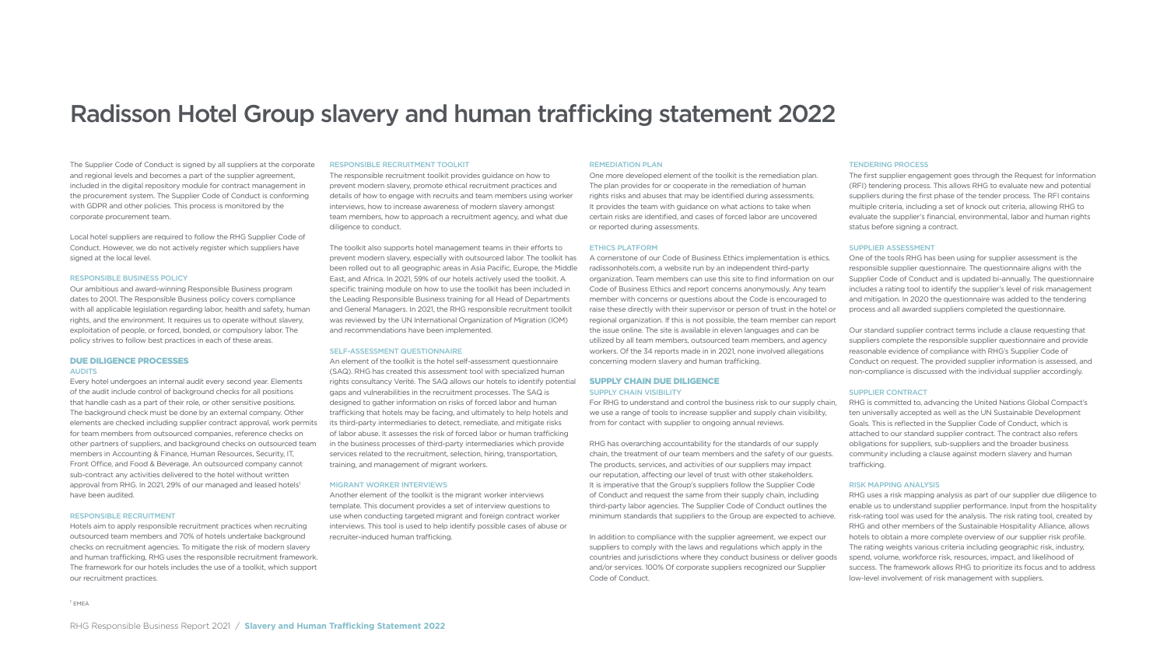The Supplier Code of Conduct is signed by all suppliers at the corporate and regional levels and becomes a part of the supplier agreement, included in the digital repository module for contract management in the procurement system. The Supplier Code of Conduct is conforming with GDPR and other policies. This process is monitored by the corporate procurement team.

Local hotel suppliers are required to follow the RHG Supplier Code of Conduct. However, we do not actively register which suppliers have signed at the local level.

#### RESPONSIBLE BUSINESS POLICY

Our ambitious and award-winning Responsible Business program dates to 2001. The Responsible Business policy covers compliance with all applicable legislation regarding labor, health and safety, human rights, and the environment. It requires us to operate without slavery, exploitation of people, or forced, bonded, or compulsory labor. The policy strives to follow best practices in each of these areas.

# DUE DILIGENCE PROCESSES

# AUDITS

Every hotel undergoes an internal audit every second year. Elements of the audit include control of background checks for all positions that handle cash as a part of their role, or other sensitive positions. The background check must be done by an external company. Other elements are checked including supplier contract approval, work permits for team members from outsourced companies, reference checks on other partners of suppliers, and background checks on outsourced team members in Accounting & Finance, Human Resources, Security, IT, Front Office, and Food & Beverage. An outsourced company cannot sub-contract any activities delivered to the hotel without written approval from RHG. In 2021, 29% of our managed and leased hotels<sup>1</sup> have been audited.

#### RESPONSIBLE RECRUITMENT

Hotels aim to apply responsible recruitment practices when recruiting outsourced team members and 70% of hotels undertake background checks on recruitment agencies. To mitigate the risk of modern slavery and human trafficking, RHG uses the responsible recruitment framework. The framework for our hotels includes the use of a toolkit, which support our recruitment practices.

#### RESPONSIBLE RECRUITMENT TOOLKIT

The responsible recruitment toolkit provides guidance on how to prevent modern slavery, promote ethical recruitment practices and details of how to engage with recruits and team members using worker interviews, how to increase awareness of modern slavery amongst team members, how to approach a recruitment agency, and what due diligence to conduct.

The toolkit also supports hotel management teams in their efforts to prevent modern slavery, especially with outsourced labor. The toolkit has been rolled out to all geographic areas in Asia Pacific, Europe, the Middle East, and Africa. In 2021, 59% of our hotels actively used the toolkit. A specific training module on how to use the toolkit has been included in the Leading Responsible Business training for all Head of Departments and General Managers. In 2021, the RHG responsible recruitment toolkit was reviewed by the UN International Organization of Migration (IOM) and recommendations have been implemented.

#### SELF-ASSESSMENT QUESTIONNAIRE

An element of the toolkit is the hotel self-assessment questionnaire (SAQ). RHG has created this assessment tool with specialized human rights consultancy Verité. The SAQ allows our hotels to identify potential gaps and vulnerabilities in the recruitment processes. The SAQ is designed to gather information on risks of forced labor and human trafficking that hotels may be facing, and ultimately to help hotels and its third-party intermediaries to detect, remediate, and mitigate risks of labor abuse. It assesses the risk of forced labor or human trafficking in the business processes of third-party intermediaries which provide services related to the recruitment, selection, hiring, transportation, training, and management of migrant workers.

#### MIGRANT WORKER INTERVIEWS

Another element of the toolkit is the migrant worker interviews template. This document provides a set of interview questions to use when conducting targeted migrant and foreign contract worker interviews. This tool is used to help identify possible cases of abuse or recruiter-induced human trafficking.

 $1$  EMEA

# REMEDIATION PLAN

One more developed element of the toolkit is the remediation plan. The plan provides for or cooperate in the remediation of human rights risks and abuses that may be identified during assessments. It provides the team with guidance on what actions to take when certain risks are identified, and cases of forced labor are uncovered or reported during assessments.

# ETHICS PLATFORM

A cornerstone of our Code of Business Ethics implementation is ethics. radissonhotels.com, a website run by an independent third-party organization. Team members can use this site to find information on our Code of Business Ethics and report concerns anonymously. Any team member with concerns or questions about the Code is encouraged to raise these directly with their supervisor or person of trust in the hotel or regional organization. If this is not possible, the team member can report the issue online. The site is available in eleven languages and can be utilized by all team members, outsourced team members, and agency workers. Of the 34 reports made in in 2021, none involved allegations concerning modern slavery and human trafficking.

# SUPPLY CHAIN DUE DILIGENCE

#### SUPPLY CHAIN VISIBILITY

For RHG to understand and control the business risk to our supply chain, we use a range of tools to increase supplier and supply chain visibility, from for contact with supplier to ongoing annual reviews.

RHG has overarching accountability for the standards of our supply chain, the treatment of our team members and the safety of our guests. The products, services, and activities of our suppliers may impact our reputation, affecting our level of trust with other stakeholders. It is imperative that the Group's suppliers follow the Supplier Code of Conduct and request the same from their supply chain, including third-party labor agencies. The Supplier Code of Conduct outlines the minimum standards that suppliers to the Group are expected to achieve.

In addition to compliance with the supplier agreement, we expect our suppliers to comply with the laws and regulations which apply in the countries and jurisdictions where they conduct business or deliver goods and/or services. 100% Of corporate suppliers recognized our Supplier Code of Conduct.

# TENDERING PROCESS

The first supplier engagement goes through the Request for Information (RFI) tendering process. This allows RHG to evaluate new and potential suppliers during the first phase of the tender process. The RFI contains multiple criteria, including a set of knock out criteria, allowing RHG to evaluate the supplier's financial, environmental, labor and human rights status before signing a contract.

# SUPPLIER ASSESSMENT

One of the tools RHG has been using for supplier assessment is the responsible supplier questionnaire. The questionnaire aligns with the Supplier Code of Conduct and is updated bi-annually. The questionnaire includes a rating tool to identify the supplier's level of risk management and mitigation. In 2020 the questionnaire was added to the tendering process and all awarded suppliers completed the questionnaire.

Our standard supplier contract terms include a clause requesting that suppliers complete the responsible supplier questionnaire and provide reasonable evidence of compliance with RHG's Supplier Code of Conduct on request. The provided supplier information is assessed, and non-compliance is discussed with the individual supplier accordingly.

# SUPPLIER CONTRACT

RHG is committed to, advancing the United Nations Global Compact's ten universally accepted as well as the UN Sustainable Development Goals. This is reflected in the Supplier Code of Conduct, which is attached to our standard supplier contract. The contract also refers obligations for suppliers, sub-suppliers and the broader business community including a clause against modern slavery and human trafficking.

# RISK MAPPING ANALYSIS

RHG uses a risk mapping analysis as part of our supplier due diligence to enable us to understand supplier performance. Input from the hospitality risk-rating tool was used for the analysis. The risk rating tool, created by RHG and other members of the Sustainable Hospitality Alliance, allows hotels to obtain a more complete overview of our supplier risk profile. The rating weights various criteria including geographic risk, industry, spend, volume, workforce risk, resources, impact, and likelihood of success. The framework allows RHG to prioritize its focus and to address low-level involvement of risk management with suppliers.

# Radisson Hotel Group slavery and human trafficking statement 2022